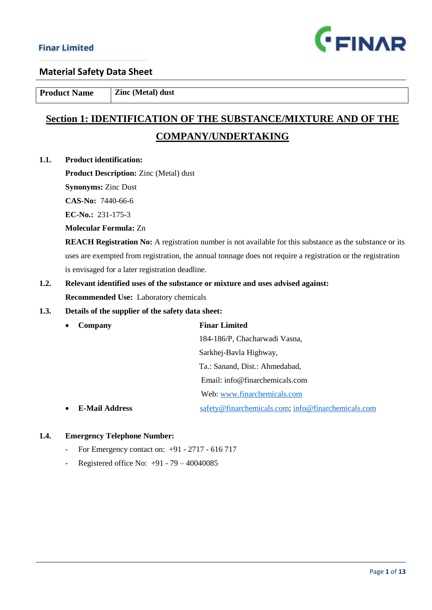

**Product Name Zinc (Metal) dust** 

# **Section 1: IDENTIFICATION OF THE SUBSTANCE/MIXTURE AND OF THE COMPANY/UNDERTAKING**

**1.1. Product identification:**

**Product Description:** Zinc (Metal) dust

**Synonyms:** Zinc Dust

**CAS-No:** 7440-66-6

**EC-No.:** 231-175-3

**Molecular Formula:** Zn

**REACH Registration No:** A registration number is not available for this substance as the substance or its uses are exempted from registration, the annual tonnage does not require a registration or the registration is envisaged for a later registration deadline.

**1.2. Relevant identified uses of the substance or mixture and uses advised against: Recommended Use:** Laboratory chemicals

## **1.3. Details of the supplier of the safety data sheet:**

| <b>Finar Limited</b><br>Company                    |  |
|----------------------------------------------------|--|
| 184-186/P, Chacharwadi Vasna,                      |  |
| Sarkhej-Bavla Highway,                             |  |
| Ta.: Sanand, Dist.: Ahmedabad,                     |  |
| Email: $info@finarchemicals.com$                   |  |
| Web: www.finarchemicals.com                        |  |
| safety@finarchemicals.com; info@finarchemicals.com |  |
|                                                    |  |

## **1.4. Emergency Telephone Number:**

- For Emergency contact on: +91 2717 616 717
- Registered office No: +91 79 40040085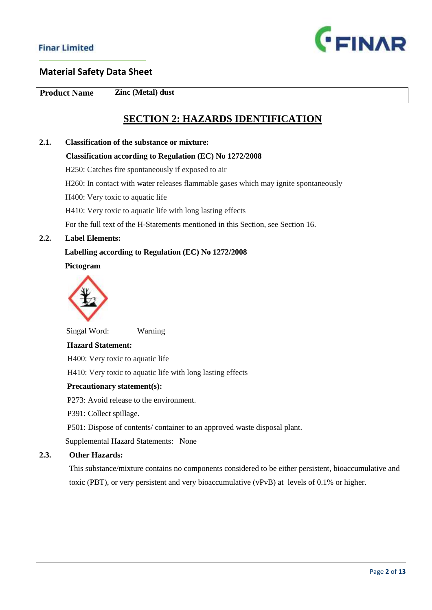

**Product Name Zinc (Metal) dust** 

# **SECTION 2: HAZARDS IDENTIFICATION**

## **2.1. Classification of the substance or mixture:**

#### **Classification according to Regulation (EC) No 1272/2008**

H250: Catches fire spontaneously if exposed to air

H260: In contact with [water](https://pubchem.ncbi.nlm.nih.gov/compound/water) releases flammable gases which may ignite spontaneously

H400: Very toxic to aquatic life

H410: Very toxic to aquatic life with long lasting effects

For the full text of the H-Statements mentioned in this Section, see Section 16.

#### **2.2. Label Elements:**

### **Labelling according to Regulation (EC) No 1272/2008**

 **Pictogram**



Singal Word: Warning

#### **Hazard Statement:**

H400: Very toxic to aquatic life

H410: Very toxic to aquatic life with long lasting effects

#### **Precautionary statement(s):**

P273: Avoid release to the environment.

P391: Collect spillage.

P501: Dispose of contents/ container to an approved waste disposal plant.

Supplemental Hazard Statements: None

## **2.3. Other Hazards:**

This substance/mixture contains no components considered to be either persistent, bioaccumulative and toxic (PBT), or very persistent and very bioaccumulative (vPvB) at levels of 0.1% or higher.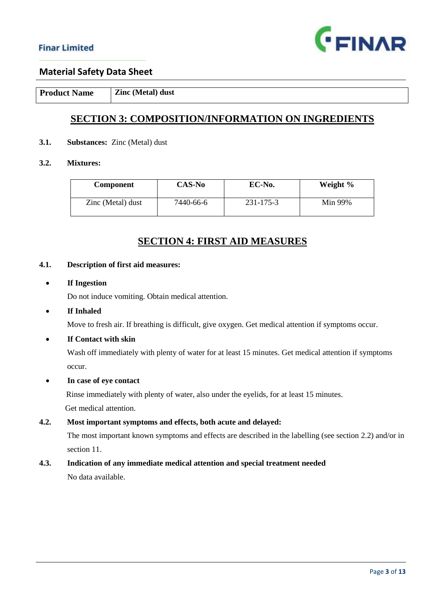

**Product Name Zinc (Metal) dust** 

## **SECTION 3: COMPOSITION/INFORMATION ON INGREDIENTS**

### **3.1. Substances:** Zinc (Metal) dust

## **3.2. Mixtures:**

| <b>Component</b>  | CAS-No    | EC-No.    | Weight % |
|-------------------|-----------|-----------|----------|
| Zinc (Metal) dust | 7440-66-6 | 231-175-3 | Min 99%  |

## **SECTION 4: FIRST AID MEASURES**

#### **4.1. Description of first aid measures:**

#### **If Ingestion**

Do not induce vomiting. Obtain medical attention.

### **If Inhaled**

Move to fresh air. If breathing is difficult, give oxygen. Get medical attention if symptoms occur.

### **If Contact with skin**

 Wash off immediately with plenty of water for at least 15 minutes. Get medical attention if symptoms occur.

### **In case of eye contact**

 Rinse immediately with plenty of water, also under the eyelids, for at least 15 minutes. Get medical attention.

**4.2. Most important symptoms and effects, both acute and delayed:**

 The most important known symptoms and effects are described in the labelling (see section 2.2) and/or in section 11.

## **4.3. Indication of any immediate medical attention and special treatment needed**

No data available.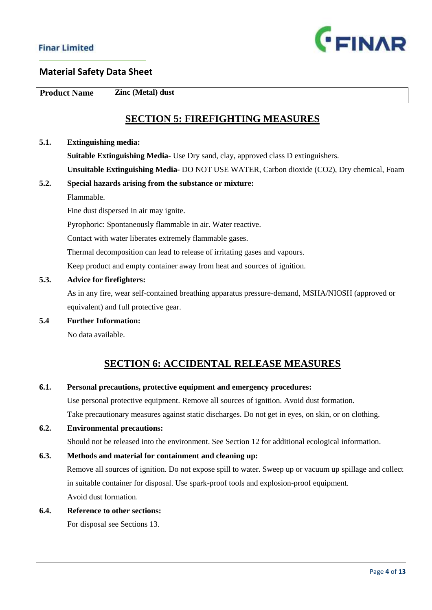

**Product Name Zinc (Metal) dust** 

# **SECTION 5: FIREFIGHTING MEASURES**

#### **5.1. Extinguishing media:**

 **Suitable Extinguishing Media-** Use Dry sand, clay, approved class D extinguishers.  **Unsuitable Extinguishing Media-** DO NOT USE WATER, Carbon dioxide (CO2), Dry chemical, Foam

## **5.2. Special hazards arising from the substance or mixture:**  Flammable.

Fine dust dispersed in air may ignite.

Pyrophoric: Spontaneously flammable in air. Water reactive.

Contact with water liberates extremely flammable gases.

Thermal decomposition can lead to release of irritating gases and vapours.

Keep product and empty container away from heat and sources of ignition.

## **5.3. Advice for firefighters:**

 As in any fire, wear self-contained breathing apparatus pressure-demand, MSHA/NIOSH (approved or equivalent) and full protective gear.

**5.4 Further Information:**

No data available.

# **SECTION 6: ACCIDENTAL RELEASE MEASURES**

## **6.1. Personal precautions, protective equipment and emergency procedures:**

Use personal protective equipment. Remove all sources of ignition. Avoid dust formation.

Take precautionary measures against static discharges. Do not get in eyes, on skin, or on clothing.

## **6.2. Environmental precautions:**

Should not be released into the environment. See Section 12 for additional ecological information.

## **6.3. Methods and material for containment and cleaning up:**

 Remove all sources of ignition. Do not expose spill to water. Sweep up or vacuum up spillage and collect in suitable container for disposal. Use spark-proof tools and explosion-proof equipment. Avoid dust formation.

### **6.4. Reference to other sections:**

For disposal see Sections 13.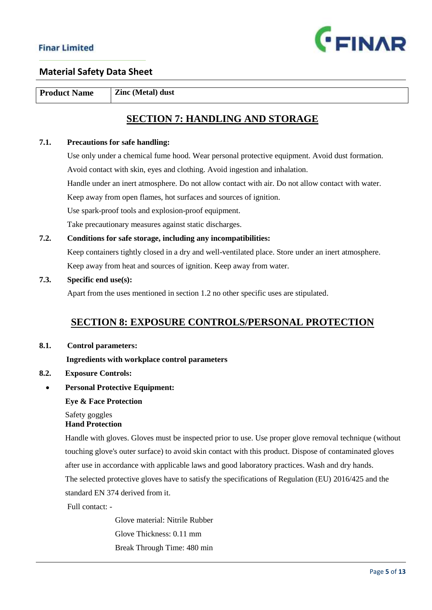

**Product Name Zinc (Metal) dust** 

# **SECTION 7: HANDLING AND STORAGE**

## **7.1. Precautions for safe handling:**

 Use only under a chemical fume hood. Wear personal protective equipment. Avoid dust formation. Avoid contact with skin, eyes and clothing. Avoid ingestion and inhalation. Handle under an inert atmosphere. Do not allow contact with air. Do not allow contact with water. Keep away from open flames, hot surfaces and sources of ignition. Use spark-proof tools and explosion-proof equipment. Take precautionary measures against static discharges.

**7.2. Conditions for safe storage, including any incompatibilities:** Keep containers tightly closed in a dry and well-ventilated place. Store under an inert atmosphere. Keep away from heat and sources of ignition. Keep away from water.

### **7.3. Specific end use(s):**

Apart from the uses mentioned in section 1.2 no other specific uses are stipulated.

## **SECTION 8: EXPOSURE CONTROLS/PERSONAL PROTECTION**

**8.1. Control parameters:**

 **Ingredients with workplace control parameters**

- **8.2. Exposure Controls:**
- **Personal Protective Equipment:**

#### **Eye & Face Protection**

 Safety goggles **Hand Protection**

 Handle with gloves. Gloves must be inspected prior to use. Use proper glove removal technique (without touching glove's outer surface) to avoid skin contact with this product. Dispose of contaminated gloves after use in accordance with applicable laws and good laboratory practices. Wash and dry hands. The selected protective gloves have to satisfy the specifications of Regulation (EU) 2016/425 and the standard EN 374 derived from it.

Full contact: -

 Glove material: Nitrile Rubber Glove Thickness: 0.11 mm Break Through Time: 480 min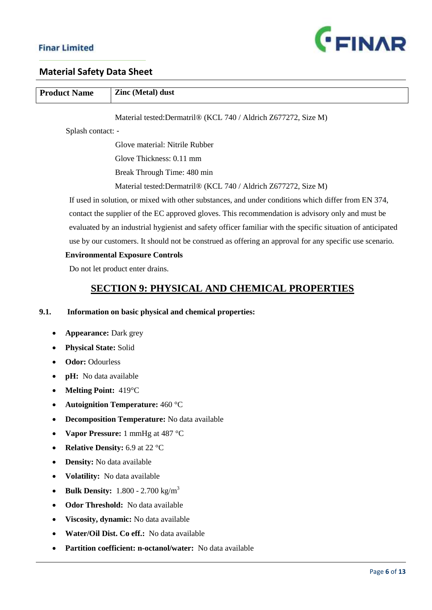

# **Material Safety Data Sheet**

| <b>Product Name</b>                       | Zinc (Metal) dust                                                                                           |  |  |
|-------------------------------------------|-------------------------------------------------------------------------------------------------------------|--|--|
|                                           | Material tested: Dermatril® (KCL 740 / Aldrich Z677272, Size M)                                             |  |  |
| Splash contact: -                         |                                                                                                             |  |  |
|                                           | Glove material: Nitrile Rubber                                                                              |  |  |
|                                           | Glove Thickness: 0.11 mm                                                                                    |  |  |
|                                           | Break Through Time: 480 min                                                                                 |  |  |
|                                           | Material tested: Dermatril® (KCL 740 / Aldrich Z677272, Size M)                                             |  |  |
|                                           | If used in solution, or mixed with other substances, and under conditions which differ from EN 374,         |  |  |
|                                           | contact the supplier of the EC approved gloves. This recommendation is advisory only and must be            |  |  |
|                                           | evaluated by an industrial hygienist and safety officer familiar with the specific situation of anticipated |  |  |
|                                           | use by our customers. It should not be construed as offering an approval for any specific use scenario.     |  |  |
|                                           | <b>Environmental Exposure Controls</b>                                                                      |  |  |
|                                           | Do not let product enter drains.                                                                            |  |  |
|                                           | <b>SECTION 9: PHYSICAL AND CHEMICAL PROPERTIES</b>                                                          |  |  |
| 9.1.                                      | Information on basic physical and chemical properties:                                                      |  |  |
| <b>Appearance: Dark grey</b><br>٠         |                                                                                                             |  |  |
| <b>Physical State: Solid</b><br>$\bullet$ |                                                                                                             |  |  |
| <b>Odor: Odourless</b>                    |                                                                                                             |  |  |
| ٠                                         | pH: No data available                                                                                       |  |  |
| Melting Point: 419°C<br>$\bullet$         |                                                                                                             |  |  |
|                                           | <b>Autoignition Temperature: 460 °C</b>                                                                     |  |  |
| $\bullet$                                 | <b>Decomposition Temperature:</b> No data available                                                         |  |  |
|                                           | Vapor Pressure: 1 mmHg at 487 °C                                                                            |  |  |
|                                           | <b>Relative Density:</b> 6.9 at 22 °C                                                                       |  |  |

- **Density:** No data available
- **Volatility:** No data available
- **Bulk Density:**  $1.800 2.700$  kg/m<sup>3</sup>
- **Odor Threshold:** No data available
- **Viscosity, dynamic:** No data available
- **Water/Oil Dist. Co eff.:** No data available
- **Partition coefficient: n-octanol/water:** No data available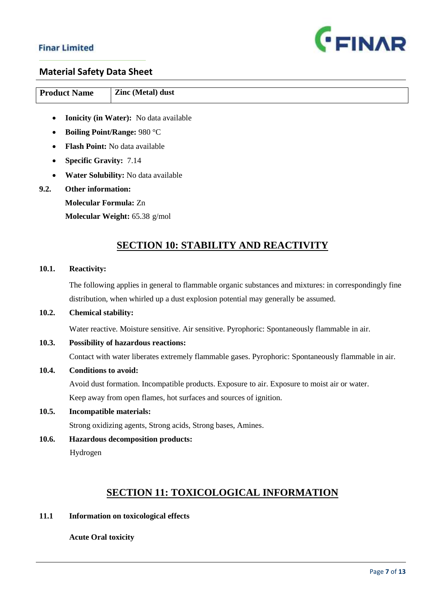

## **Material Safety Data Sheet**

| <b>Product Name</b> | <b>Zinc (Metal) dust</b> |
|---------------------|--------------------------|

- **Ionicity (in Water):** No data available
- **Boiling Point/Range:** 980 °C
- **Flash Point:** No data available
- **Specific Gravity:** 7.14
- **Water Solubility:** No data available
- **9.2. Other information:** 
	- **Molecular Formula:** Zn

**Molecular Weight:** 65.38 g/mol

# **SECTION 10: STABILITY AND REACTIVITY**

#### **10.1. Reactivity:**

 The following applies in general to flammable organic substances and mixtures: in correspondingly fine distribution, when whirled up a dust explosion potential may generally be assumed.

## **10.2. Chemical stability:**

Water reactive. Moisture sensitive. Air sensitive. Pyrophoric: Spontaneously flammable in air.

## **10.3. Possibility of hazardous reactions:**

Contact with water liberates extremely flammable gases. Pyrophoric: Spontaneously flammable in air.

## **10.4. Conditions to avoid:**

Avoid dust formation. Incompatible products. Exposure to air. Exposure to moist air or water. Keep away from open flames, hot surfaces and sources of ignition.

## **10.5. Incompatible materials:**

Strong oxidizing agents, Strong acids, Strong bases, Amines.

**10.6. Hazardous decomposition products:** Hydrogen

# **SECTION 11: TOXICOLOGICAL INFORMATION**

**11.1 Information on toxicological effects**

## **Acute Oral toxicity**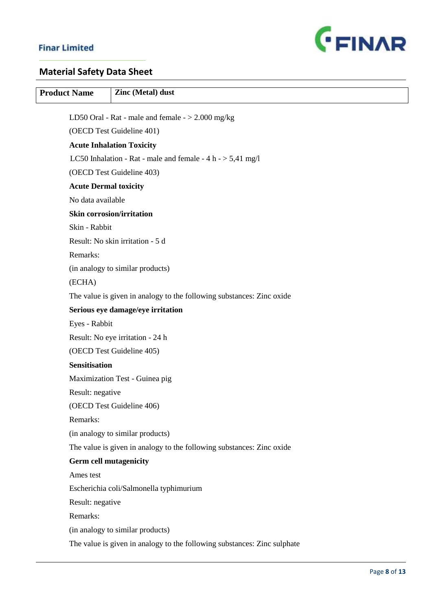

# **Material Safety Data Sheet**

| <b>Product Name</b>           | Zinc (Metal) dust                                                                        |
|-------------------------------|------------------------------------------------------------------------------------------|
|                               |                                                                                          |
|                               | LD50 Oral - Rat - male and female $-$ > 2.000 mg/kg                                      |
|                               | (OECD Test Guideline 401)                                                                |
|                               | <b>Acute Inhalation Toxicity</b>                                                         |
|                               | LC50 Inhalation - Rat - male and female - 4 h - > 5,41 mg/l<br>(OECD Test Guideline 403) |
| <b>Acute Dermal toxicity</b>  |                                                                                          |
| No data available             |                                                                                          |
|                               | <b>Skin corrosion/irritation</b>                                                         |
| Skin - Rabbit                 |                                                                                          |
|                               | Result: No skin irritation - 5 d                                                         |
| Remarks:                      |                                                                                          |
|                               | (in analogy to similar products)                                                         |
| (ECHA)                        |                                                                                          |
|                               | The value is given in analogy to the following substances: Zinc oxide                    |
|                               | Serious eye damage/eye irritation                                                        |
| Eyes - Rabbit                 |                                                                                          |
|                               | Result: No eye irritation - 24 h                                                         |
|                               | (OECD Test Guideline 405)                                                                |
| <b>Sensitisation</b>          |                                                                                          |
|                               | Maximization Test - Guinea pig                                                           |
| Result: negative              |                                                                                          |
|                               | (OECD Test Guideline 406)                                                                |
| Remarks:                      |                                                                                          |
|                               | (in analogy to similar products)                                                         |
|                               | The value is given in analogy to the following substances: Zinc oxide                    |
| <b>Germ cell mutagenicity</b> |                                                                                          |
| Ames test                     |                                                                                          |
|                               | Escherichia coli/Salmonella typhimurium                                                  |
| Result: negative              |                                                                                          |
| Remarks:                      |                                                                                          |
|                               | (in analogy to similar products)                                                         |
|                               | The value is given in analogy to the following substances: Zinc sulphate                 |
|                               |                                                                                          |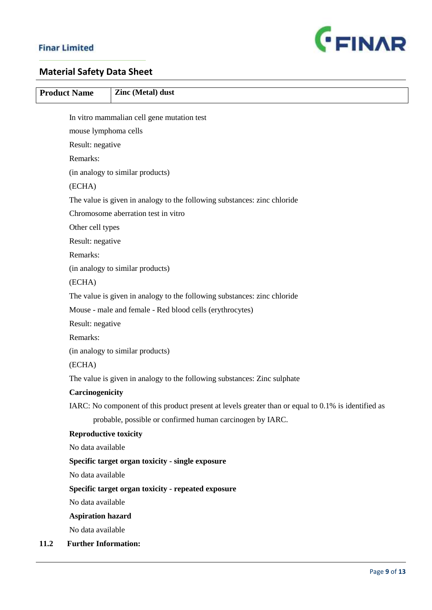

# **Material Safety Data Sheet**

|      | <b>Product Name</b>                                      | Zinc (Metal) dust                                                                                   |  |
|------|----------------------------------------------------------|-----------------------------------------------------------------------------------------------------|--|
|      |                                                          | In vitro mammalian cell gene mutation test                                                          |  |
|      | mouse lymphoma cells                                     |                                                                                                     |  |
|      | Result: negative                                         |                                                                                                     |  |
|      | Remarks:                                                 |                                                                                                     |  |
|      |                                                          | (in analogy to similar products)                                                                    |  |
|      | (ECHA)                                                   |                                                                                                     |  |
|      |                                                          | The value is given in analogy to the following substances: zinc chloride                            |  |
|      |                                                          | Chromosome aberration test in vitro                                                                 |  |
|      | Other cell types                                         |                                                                                                     |  |
|      | Result: negative                                         |                                                                                                     |  |
|      | Remarks:                                                 |                                                                                                     |  |
|      |                                                          | (in analogy to similar products)                                                                    |  |
|      | (ECHA)                                                   |                                                                                                     |  |
|      |                                                          | The value is given in analogy to the following substances: zinc chloride                            |  |
|      | Mouse - male and female - Red blood cells (erythrocytes) |                                                                                                     |  |
|      | Result: negative                                         |                                                                                                     |  |
|      | Remarks:                                                 |                                                                                                     |  |
|      |                                                          | (in analogy to similar products)                                                                    |  |
|      | (ECHA)                                                   |                                                                                                     |  |
|      |                                                          | The value is given in analogy to the following substances: Zinc sulphate                            |  |
|      | Carcinogenicity                                          |                                                                                                     |  |
|      |                                                          | IARC: No component of this product present at levels greater than or equal to 0.1% is identified as |  |
|      |                                                          | probable, possible or confirmed human carcinogen by IARC.                                           |  |
|      | <b>Reproductive toxicity</b>                             |                                                                                                     |  |
|      | No data available                                        |                                                                                                     |  |
|      |                                                          | Specific target organ toxicity - single exposure                                                    |  |
|      | No data available                                        |                                                                                                     |  |
|      |                                                          | Specific target organ toxicity - repeated exposure                                                  |  |
|      | No data available                                        |                                                                                                     |  |
|      | <b>Aspiration hazard</b>                                 |                                                                                                     |  |
|      | No data available                                        |                                                                                                     |  |
| 11.2 | <b>Further Information:</b>                              |                                                                                                     |  |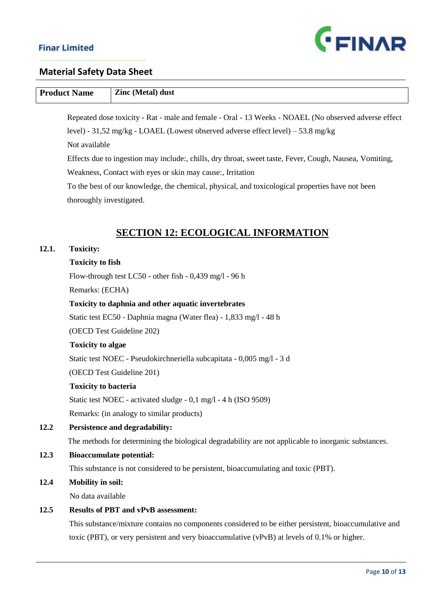

# **Product Name Zinc (Metal) dust**

 Repeated dose toxicity - Rat - male and female - Oral - 13 Weeks - NOAEL (No observed adverse effect level) - 31,52 mg/kg - LOAEL (Lowest observed adverse effect level) – 53.8 mg/kg

Not available

 Effects due to ingestion may include:, chills, dry throat, sweet taste, Fever, Cough, Nausea, Vomiting, Weakness, Contact with eyes or skin may cause:, Irritation

 To the best of our knowledge, the chemical, physical, and toxicological properties have not been thoroughly investigated.

## **SECTION 12: ECOLOGICAL INFORMATION**

### **12.1. Toxicity:**

## **Toxicity to fish**

Flow-through test LC50 - other fish - 0,439 mg/l - 96 h

Remarks: (ECHA)

## **Toxicity to daphnia and other aquatic invertebrates**

Static test EC50 - Daphnia magna (Water flea) - 1,833 mg/l - 48 h

(OECD Test Guideline 202)

## **Toxicity to algae**

Static test NOEC - Pseudokirchneriella subcapitata - 0,005 mg/l - 3 d

(OECD Test Guideline 201)

## **Toxicity to bacteria**

Static test NOEC - activated sludge - 0,1 mg/l - 4 h (ISO 9509) Remarks: (in analogy to similar products)

## **12.2 Persistence and degradability:**

The methods for determining the biological degradability are not applicable to inorganic substances.

## **12.3 Bioaccumulate potential:**

This substance is not considered to be persistent, bioaccumulating and toxic (PBT).

### **12.4 Mobility in soil:**

No data available

### **12.5 Results of PBT and vPvB assessment:**

 This substance/mixture contains no components considered to be either persistent, bioaccumulative and toxic (PBT), or very persistent and very bioaccumulative (vPvB) at levels of 0.1% or higher.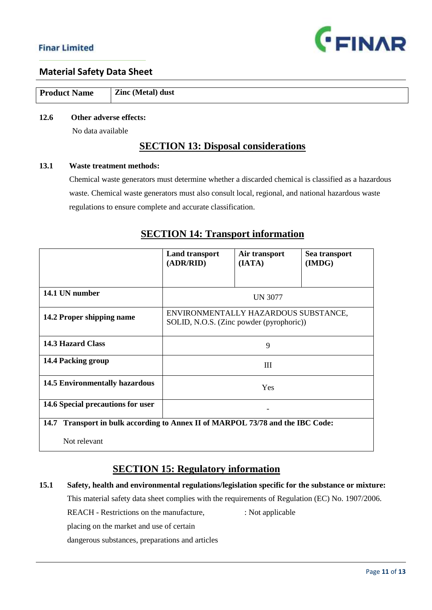

| <b>Product Name</b> | <b>Zinc (Metal) dust</b> |
|---------------------|--------------------------|

## **12.6 Other adverse effects:**

No data available

## **SECTION 13: Disposal considerations**

## **13.1 Waste treatment methods:**

 Chemical waste generators must determine whether a discarded chemical is classified as a hazardous waste. Chemical waste generators must also consult local, regional, and national hazardous waste regulations to ensure complete and accurate classification.

|                                                                                   | <b>Land transport</b><br>(ADR/RID)                                               | Air transport<br>(IATA) | Sea transport<br>(IMDG) |
|-----------------------------------------------------------------------------------|----------------------------------------------------------------------------------|-------------------------|-------------------------|
|                                                                                   |                                                                                  |                         |                         |
| 14.1 UN number                                                                    |                                                                                  | <b>UN 3077</b>          |                         |
| 14.2 Proper shipping name                                                         | ENVIRONMENTALLY HAZARDOUS SUBSTANCE,<br>SOLID, N.O.S. (Zinc powder (pyrophoric)) |                         |                         |
| <b>14.3 Hazard Class</b>                                                          |                                                                                  | 9                       |                         |
| 14.4 Packing group                                                                |                                                                                  | Ш                       |                         |
| <b>14.5 Environmentally hazardous</b>                                             |                                                                                  | <b>Yes</b>              |                         |
| 14.6 Special precautions for user                                                 |                                                                                  |                         |                         |
| Transport in bulk according to Annex II of MARPOL 73/78 and the IBC Code:<br>14.7 |                                                                                  |                         |                         |
| Not relevant                                                                      |                                                                                  |                         |                         |

# **SECTION 14: Transport information**

# **SECTION 15: Regulatory information**

**15.1 Safety, health and environmental regulations/legislation specific for the substance or mixture:** This material safety data sheet complies with the requirements of Regulation (EC) No. 1907/2006. **REACH** - Restrictions on the manufacture, : Not applicable placing on the market and use of certain dangerous substances, preparations and articles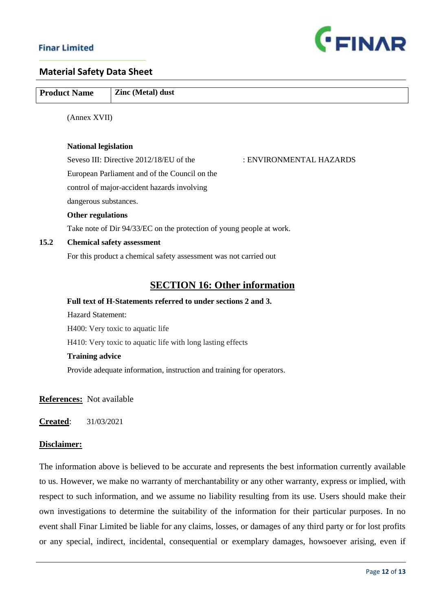

|      | <b>Product Name</b>         | Zinc (Metal) dust                                                     |
|------|-----------------------------|-----------------------------------------------------------------------|
|      | (Annex XVII)                |                                                                       |
|      |                             |                                                                       |
|      | <b>National legislation</b> |                                                                       |
|      |                             | Seveso III: Directive 2012/18/EU of the<br>: ENVIRONMENTAL HAZARDS    |
|      |                             | European Parliament and of the Council on the                         |
|      |                             | control of major-accident hazards involving                           |
|      | dangerous substances.       |                                                                       |
|      | Other regulations           |                                                                       |
|      |                             | Take note of Dir 94/33/EC on the protection of young people at work.  |
| 15.2 |                             | <b>Chemical safety assessment</b>                                     |
|      |                             | For this product a chemical safety assessment was not carried out     |
|      |                             |                                                                       |
|      |                             | <b>SECTION 16: Other information</b>                                  |
|      |                             | Full text of H-Statements referred to under sections 2 and 3.         |
|      | <b>Hazard Statement:</b>    |                                                                       |
|      |                             | H400: Very toxic to aquatic life                                      |
|      |                             | H410: Very toxic to aquatic life with long lasting effects            |
|      | <b>Training advice</b>      |                                                                       |
|      |                             | Provide adequate information, instruction and training for operators. |

**References:** Not available

**Created**: 31/03/2021

## **Disclaimer:**

The information above is believed to be accurate and represents the best information currently available to us. However, we make no warranty of merchantability or any other warranty, express or implied, with respect to such information, and we assume no liability resulting from its use. Users should make their own investigations to determine the suitability of the information for their particular purposes. In no event shall Finar Limited be liable for any claims, losses, or damages of any third party or for lost profits or any special, indirect, incidental, consequential or exemplary damages, howsoever arising, even if